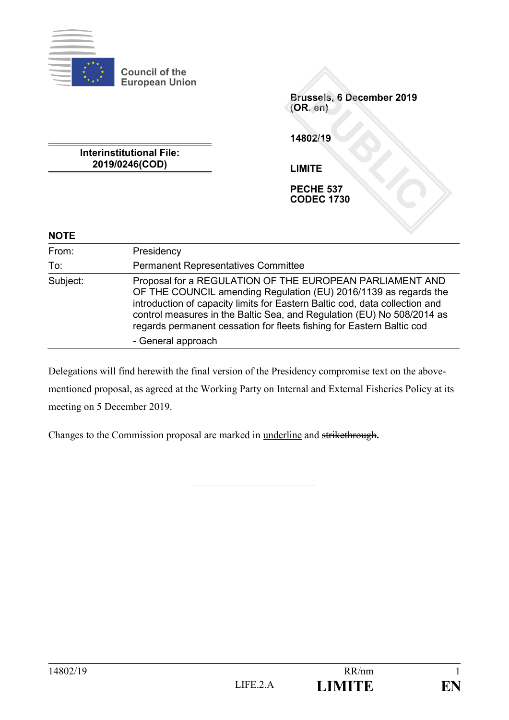

**Council of the European Union**

> **Brussels, 6 December 2019 (OR. en)**

**14802/19**

**Interinstitutional File: 2019/0246(COD)**

**LIMITE**

**PECHE 537 CODEC 1730**

# **NOTE**

| From:    | Presidency<br><b>Permanent Representatives Committee</b>                                                                                                                                                                                                                                                                                                                             |  |  |
|----------|--------------------------------------------------------------------------------------------------------------------------------------------------------------------------------------------------------------------------------------------------------------------------------------------------------------------------------------------------------------------------------------|--|--|
| To:      |                                                                                                                                                                                                                                                                                                                                                                                      |  |  |
| Subject: | Proposal for a REGULATION OF THE EUROPEAN PARLIAMENT AND<br>OF THE COUNCIL amending Regulation (EU) 2016/1139 as regards the<br>introduction of capacity limits for Eastern Baltic cod, data collection and<br>control measures in the Baltic Sea, and Regulation (EU) No 508/2014 as<br>regards permanent cessation for fleets fishing for Eastern Baltic cod<br>- General approach |  |  |

Delegations will find herewith the final version of the Presidency compromise text on the abovementioned proposal, as agreed at the Working Party on Internal and External Fisheries Policy at its meeting on 5 December 2019.

Changes to the Commission proposal are marked in underline and strikethrough**.**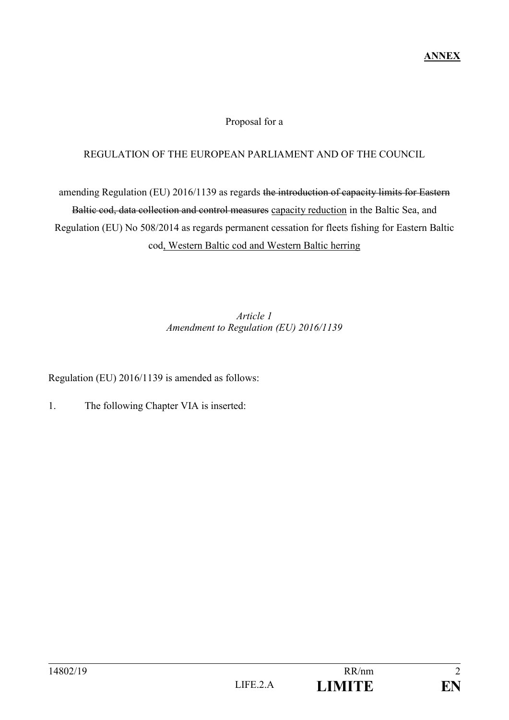# **ANNEX**

#### Proposal for a

#### REGULATION OF THE EUROPEAN PARLIAMENT AND OF THE COUNCIL

amending Regulation (EU) 2016/1139 as regards the introduction of capacity limits for Eastern Baltic cod, data collection and control measures capacity reduction in the Baltic Sea, and Regulation (EU) No 508/2014 as regards permanent cessation for fleets fishing for Eastern Baltic cod, Western Baltic cod and Western Baltic herring

# *Article 1 Amendment to Regulation (EU) 2016/1139*

Regulation (EU) 2016/1139 is amended as follows:

1. The following Chapter VIA is inserted: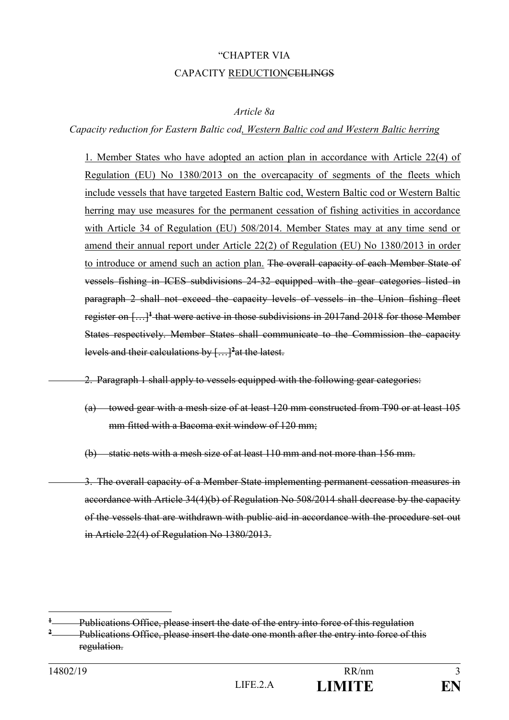# "CHAPTER VIA CAPACITY REDUCTIONCEILINGS

#### *Article 8a*

# *Capacity reduction for Eastern Baltic cod, Western Baltic cod and Western Baltic herring*

1. Member States who have adopted an action plan in accordance with Article 22(4) of Regulation (EU) No 1380/2013 on the overcapacity of segments of the fleets which include vessels that have targeted Eastern Baltic cod, Western Baltic cod or Western Baltic herring may use measures for the permanent cessation of fishing activities in accordance with Article 34 of Regulation (EU) 508/2014. Member States may at any time send or amend their annual report under Article 22(2) of Regulation (EU) No 1380/2013 in order to introduce or amend such an action plan. The overall capacity of each Member State of vessels fishing in ICES subdivisions 24-32 equipped with the gear categories listed in paragraph 2 shall not exceed the capacity levels of vessels in the Union fishing fleet register on […]**<sup>1</sup>** that were active in those subdivisions in 2017and 2018 for those Member States respectively. Member States shall communicate to the Commission the capacity levels and their calculations by […]**<sup>2</sup>**at the latest.

2. Paragraph 1 shall apply to vessels equipped with the following gear categories:

(a) towed gear with a mesh size of at least 120 mm constructed from T90 or at least 105 mm fitted with a Bacoma exit window of 120 mm;

(b) static nets with a mesh size of at least 110 mm and not more than 156 mm.

3. The overall capacity of a Member State implementing permanent cessation measures in accordance with Article 34(4)(b) of Regulation No 508/2014 shall decrease by the capacity of the vessels that are withdrawn with public aid in accordance with the procedure set out in Article 22(4) of Regulation No 1380/2013.

**<sup>1</sup>** Publications Office, please insert the date of the entry into force of this regulation **<sup>2</sup>** Publications Office, please insert the date one month after the entry into force of this regulation.

<u>.</u>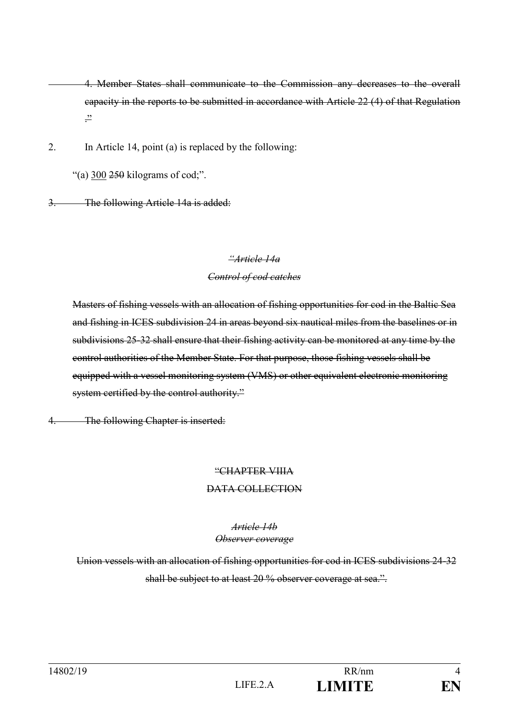4. Member States shall communicate to the Commission any decreases to the overall capacity in the reports to be submitted in accordance with Article 22 (4) of that Regulation  $\frac{22}{1}$ 

2. In Article 14, point (a) is replaced by the following:

"(a)  $300\,250$  kilograms of cod;".

3. The following Article 14a is added:

#### *"Article 14a*

# *Control of cod catches*

Masters of fishing vessels with an allocation of fishing opportunities for cod in the Baltic Sea and fishing in ICES subdivision 24 in areas beyond six nautical miles from the baselines or in subdivisions 25-32 shall ensure that their fishing activity can be monitored at any time by the control authorities of the Member State. For that purpose, those fishing vessels shall be equipped with a vessel monitoring system (VMS) or other equivalent electronic monitoring system certified by the control authority."

4. The following Chapter is inserted:

# "CHAPTER VIIIA

# DATA COLLECTION

#### *Article 14b Observer coverage*

Union vessels with an allocation of fishing opportunities for cod in ICES subdivisions 24-32 shall be subject to at least 20 % observer coverage at sea.".

| 14802/19 |        | RR/nm         |    |
|----------|--------|---------------|----|
|          | LIFE.2 | <b>LIMITE</b> | EN |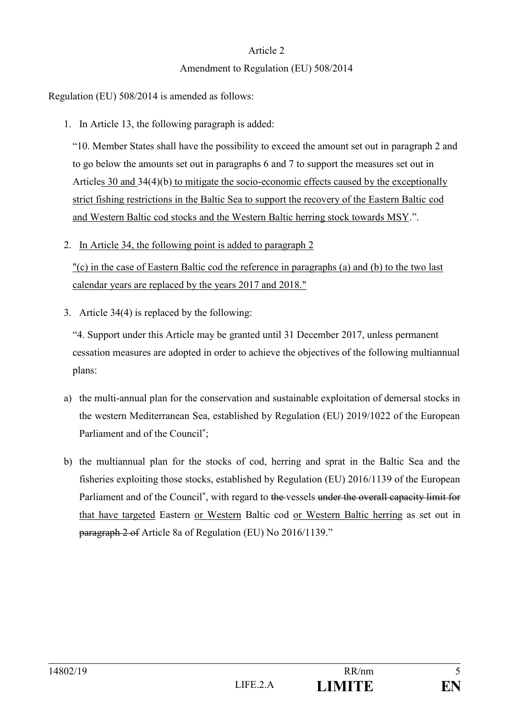# Article 2

# Amendment to Regulation (EU) 508/2014

Regulation (EU) 508/2014 is amended as follows:

1. In Article 13, the following paragraph is added:

"10. Member States shall have the possibility to exceed the amount set out in paragraph 2 and to go below the amounts set out in paragraphs 6 and 7 to support the measures set out in Articles 30 and 34(4)(b) to mitigate the socio-economic effects caused by the exceptionally strict fishing restrictions in the Baltic Sea to support the recovery of the Eastern Baltic cod and Western Baltic cod stocks and the Western Baltic herring stock towards MSY.".

2. In Article 34, the following point is added to paragraph 2

"(c) in the case of Eastern Baltic cod the reference in paragraphs (a) and (b) to the two last calendar years are replaced by the years 2017 and 2018."

3. Article 34(4) is replaced by the following:

"4. Support under this Article may be granted until 31 December 2017, unless permanent cessation measures are adopted in order to achieve the objectives of the following multiannual plans:

- a) the multi-annual plan for the conservation and sustainable exploitation of demersal stocks in the western Mediterranean Sea, established by Regulation (EU) 2019/1022 of the European Parliament and of the Council**\*** ;
- b) the multiannual plan for the stocks of cod, herring and sprat in the Baltic Sea and the fisheries exploiting those stocks, established by Regulation (EU) 2016/1139 of the European Parliament and of the Council<sup>\*</sup>, with regard to the vessels under the overall capacity limit for that have targeted Eastern or Western Baltic cod or Western Baltic herring as set out in paragraph 2 of Article 8a of Regulation (EU) No 2016/1139."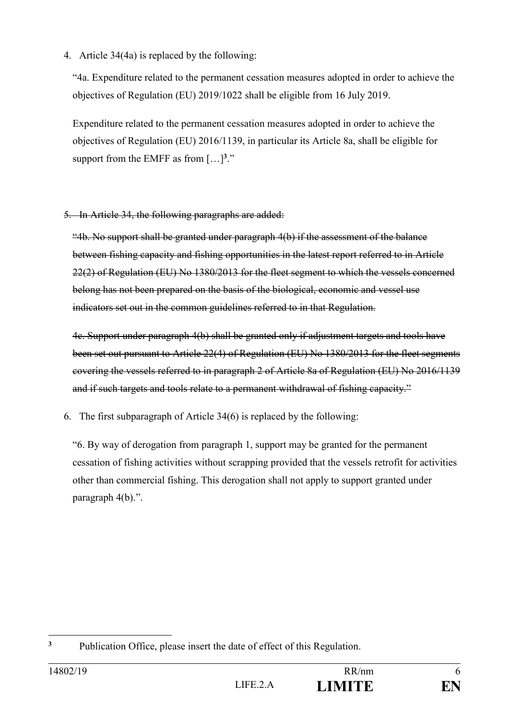4. Article 34(4a) is replaced by the following:

"4a. Expenditure related to the permanent cessation measures adopted in order to achieve the objectives of Regulation (EU) 2019/1022 shall be eligible from 16 July 2019.

Expenditure related to the permanent cessation measures adopted in order to achieve the objectives of Regulation (EU) 2016/1139, in particular its Article 8a, shall be eligible for support from the EMFF as from  $[...]^{3}$ ."

5. In Article 34, the following paragraphs are added:

"4b. No support shall be granted under paragraph 4(b) if the assessment of the balance between fishing capacity and fishing opportunities in the latest report referred to in Article 22(2) of Regulation (EU) No 1380/2013 for the fleet segment to which the vessels concerned belong has not been prepared on the basis of the biological, economic and vessel use indicators set out in the common guidelines referred to in that Regulation.

4c. Support under paragraph 4(b) shall be granted only if adjustment targets and tools have been set out pursuant to Article 22(4) of Regulation (EU) No 1380/2013 for the fleet segments covering the vessels referred to in paragraph 2 of Article 8a of Regulation (EU) No 2016/1139 and if such targets and tools relate to a permanent withdrawal of fishing capacity."

6. The first subparagraph of Article 34(6) is replaced by the following:

"6. By way of derogation from paragraph 1, support may be granted for the permanent cessation of fishing activities without scrapping provided that the vessels retrofit for activities other than commercial fishing. This derogation shall not apply to support granted under paragraph 4(b).".

<sup>1</sup> **<sup>3</sup>** Publication Office, please insert the date of effect of this Regulation.